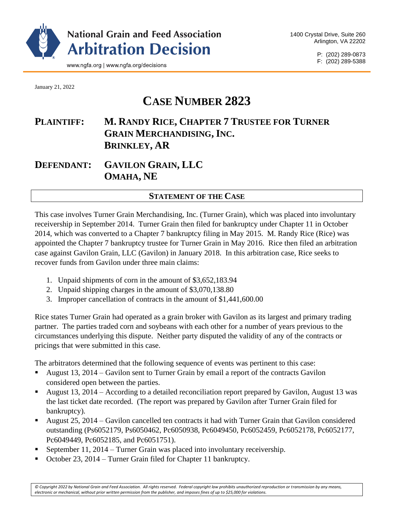

P: (202) 289-0873 F: (202) 289-5388

January 21, 2022

# **CASE NUMBER 2823**

## **PLAINTIFF: M. RANDY RICE, CHAPTER 7 TRUSTEE FOR TURNER GRAIN MERCHANDISING, INC. BRINKLEY, AR**

**DEFENDANT: GAVILON GRAIN, LLC OMAHA, NE**

## **STATEMENT OF THE CASE**

This case involves Turner Grain Merchandising, Inc. (Turner Grain), which was placed into involuntary receivership in September 2014. Turner Grain then filed for bankruptcy under Chapter 11 in October 2014, which was converted to a Chapter 7 bankruptcy filing in May 2015. M. Randy Rice (Rice) was appointed the Chapter 7 bankruptcy trustee for Turner Grain in May 2016. Rice then filed an arbitration case against Gavilon Grain, LLC (Gavilon) in January 2018. In this arbitration case, Rice seeks to recover funds from Gavilon under three main claims:

- 1. Unpaid shipments of corn in the amount of \$3,652,183.94
- 2. Unpaid shipping charges in the amount of \$3,070,138.80
- 3. Improper cancellation of contracts in the amount of \$1,441,600.00

Rice states Turner Grain had operated as a grain broker with Gavilon as its largest and primary trading partner. The parties traded corn and soybeans with each other for a number of years previous to the circumstances underlying this dispute. Neither party disputed the validity of any of the contracts or pricings that were submitted in this case.

The arbitrators determined that the following sequence of events was pertinent to this case:

- August 13, 2014 Gavilon sent to Turner Grain by email a report of the contracts Gavilon considered open between the parties.
- August 13, 2014 According to a detailed reconciliation report prepared by Gavilon, August 13 was the last ticket date recorded. (The report was prepared by Gavilon after Turner Grain filed for bankruptcy).
- August 25, 2014 Gavilon cancelled ten contracts it had with Turner Grain that Gavilon considered outstanding (Ps6052179, Ps6050462, Pc6050938, Pc6049450, Pc6052459, Pc6052178, Pc6052177, Pc6049449, Pc6052185, and Pc6051751).
- September 11, 2014 Turner Grain was placed into involuntary receivership.
- October 23, 2014 Turner Grain filed for Chapter 11 bankruptcy.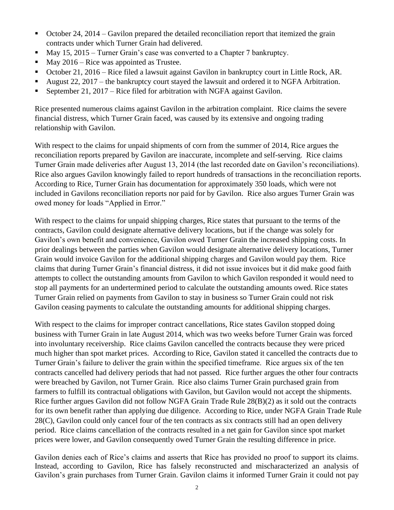- October 24, 2014 Gavilon prepared the detailed reconciliation report that itemized the grain contracts under which Turner Grain had delivered.
- May 15, 2015 Turner Grain's case was converted to a Chapter 7 bankruptcy.
- May  $2016$  Rice was appointed as Trustee.
- October 21, 2016 Rice filed a lawsuit against Gavilon in bankruptcy court in Little Rock, AR.
- August 22, 2017 the bankruptcy court stayed the lawsuit and ordered it to NGFA Arbitration.
- **•** September 21, 2017 Rice filed for arbitration with NGFA against Gavilon.

Rice presented numerous claims against Gavilon in the arbitration complaint. Rice claims the severe financial distress, which Turner Grain faced, was caused by its extensive and ongoing trading relationship with Gavilon.

With respect to the claims for unpaid shipments of corn from the summer of 2014, Rice argues the reconciliation reports prepared by Gavilon are inaccurate, incomplete and self-serving. Rice claims Turner Grain made deliveries after August 13, 2014 (the last recorded date on Gavilon's reconciliations). Rice also argues Gavilon knowingly failed to report hundreds of transactions in the reconciliation reports. According to Rice, Turner Grain has documentation for approximately 350 loads, which were not included in Gavilons reconciliation reports nor paid for by Gavilon. Rice also argues Turner Grain was owed money for loads "Applied in Error."

With respect to the claims for unpaid shipping charges, Rice states that pursuant to the terms of the contracts, Gavilon could designate alternative delivery locations, but if the change was solely for Gavilon's own benefit and convenience, Gavilon owed Turner Grain the increased shipping costs. In prior dealings between the parties when Gavilon would designate alternative delivery locations, Turner Grain would invoice Gavilon for the additional shipping charges and Gavilon would pay them. Rice claims that during Turner Grain's financial distress, it did not issue invoices but it did make good faith attempts to collect the outstanding amounts from Gavilon to which Gavilon responded it would need to stop all payments for an undertermined period to calculate the outstanding amounts owed. Rice states Turner Grain relied on payments from Gavilon to stay in business so Turner Grain could not risk Gavilon ceasing payments to calculate the outstanding amounts for additional shipping charges.

With respect to the claims for improper contract cancellations, Rice states Gavilon stopped doing business with Turner Grain in late August 2014, which was two weeks before Turner Grain was forced into involuntary receivership. Rice claims Gavilon cancelled the contracts because they were priced much higher than spot market prices. According to Rice, Gavilon stated it cancelled the contracts due to Turner Grain's failure to deliver the grain within the specified timeframe. Rice argues six of the ten contracts cancelled had delivery periods that had not passed. Rice further argues the other four contracts were breached by Gavilon, not Turner Grain. Rice also claims Turner Grain purchased grain from farmers to fulfill its contractual obligations with Gavilon, but Gavilon would not accept the shipments. Rice further argues Gavilon did not follow NGFA Grain Trade Rule 28(B)(2) as it sold out the contracts for its own benefit rather than applying due diligence. According to Rice, under NGFA Grain Trade Rule 28(C), Gavilon could only cancel four of the ten contracts as six contracts still had an open delivery period. Rice claims cancellation of the contracts resulted in a net gain for Gavilon since spot market prices were lower, and Gavilon consequently owed Turner Grain the resulting difference in price.

Gavilon denies each of Rice's claims and asserts that Rice has provided no proof to support its claims. Instead, according to Gavilon, Rice has falsely reconstructed and mischaracterized an analysis of Gavilon's grain purchases from Turner Grain. Gavilon claims it informed Turner Grain it could not pay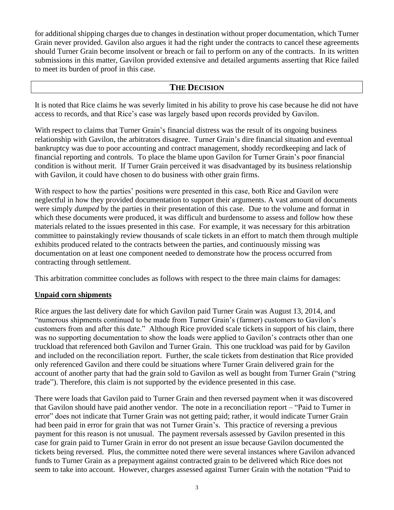for additional shipping charges due to changes in destination without proper documentation, which Turner Grain never provided. Gavilon also argues it had the right under the contracts to cancel these agreements should Turner Grain become insolvent or breach or fail to perform on any of the contracts. In its written submissions in this matter, Gavilon provided extensive and detailed arguments asserting that Rice failed to meet its burden of proof in this case.

#### **THE DECISION**

It is noted that Rice claims he was severly limited in his ability to prove his case because he did not have access to records, and that Rice's case was largely based upon records provided by Gavilon.

With respect to claims that Turner Grain's financial distress was the result of its ongoing business relationship with Gavilon, the arbitrators disagree. Turner Grain's dire financial situation and eventual bankruptcy was due to poor accounting and contract management, shoddy recordkeeping and lack of financial reporting and controls. To place the blame upon Gavilon for Turner Grain's poor financial condition is without merit. If Turner Grain perceived it was disadvantaged by its business relationship with Gavilon, it could have chosen to do business with other grain firms.

With respect to how the parties' positions were presented in this case, both Rice and Gavilon were neglectful in how they provided documentation to support their arguments. A vast amount of documents were simply *dumped* by the parties in their presentation of this case. Due to the volume and format in which these documents were produced, it was difficult and burdensome to assess and follow how these materials related to the issues presented in this case. For example, it was necessary for this arbitration committee to painstakingly review thousands of scale tickets in an effort to match them through multiple exhibits produced related to the contracts between the parties, and continuously missing was documentation on at least one component needed to demonstrate how the process occurred from contracting through settlement.

This arbitration committee concludes as follows with respect to the three main claims for damages:

## **Unpaid corn shipments**

Rice argues the last delivery date for which Gavilon paid Turner Grain was August 13, 2014, and "numerous shipments continued to be made from Turner Grain's (farmer) customers to Gavilon's customers from and after this date." Although Rice provided scale tickets in support of his claim, there was no supporting documentation to show the loads were applied to Gavilon's contracts other than one truckload that referenced both Gavilon and Turner Grain. This one truckload was paid for by Gavilon and included on the reconciliation report. Further, the scale tickets from destination that Rice provided only referenced Gavilon and there could be situations where Turner Grain delivered grain for the account of another party that had the grain sold to Gavilon as well as bought from Turner Grain ("string trade"). Therefore, this claim is not supported by the evidence presented in this case.

There were loads that Gavilon paid to Turner Grain and then reversed payment when it was discovered that Gavilon should have paid another vendor. The note in a reconciliation report – "Paid to Turner in error" does not indicate that Turner Grain was not getting paid; rather, it would indicate Turner Grain had been paid in error for grain that was not Turner Grain's. This practice of reversing a previous payment for this reason is not unusual. The payment reversals assessed by Gavilon presented in this case for grain paid to Turner Grain in error do not present an issue because Gavilon documented the tickets being reversed. Plus, the committee noted there were several instances where Gavilon advanced funds to Turner Grain as a prepayment against contracted grain to be delivered which Rice does not seem to take into account. However, charges assessed against Turner Grain with the notation "Paid to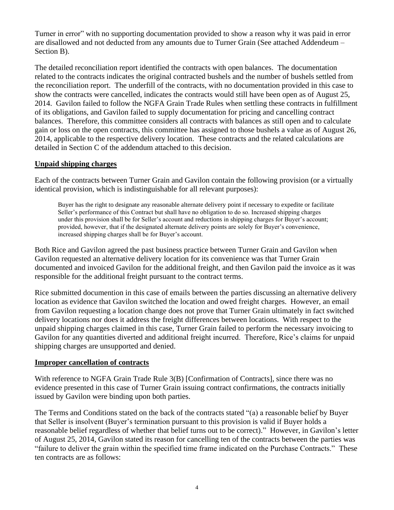Turner in error" with no supporting documentation provided to show a reason why it was paid in error are disallowed and not deducted from any amounts due to Turner Grain (See attached Addendeum – Section B).

The detailed reconciliation report identified the contracts with open balances. The documentation related to the contracts indicates the original contracted bushels and the number of bushels settled from the reconciliation report. The underfill of the contracts, with no documentation provided in this case to show the contracts were cancelled, indicates the contracts would still have been open as of August 25, 2014. Gavilon failed to follow the NGFA Grain Trade Rules when settling these contracts in fulfillment of its obligations, and Gavilon failed to supply documentation for pricing and cancelling contract balances. Therefore, this committee considers all contracts with balances as still open and to calculate gain or loss on the open contracts, this committee has assigned to those bushels a value as of August 26, 2014, applicable to the respective delivery location. These contracts and the related calculations are detailed in Section C of the addendum attached to this decision.

#### **Unpaid shipping charges**

Each of the contracts between Turner Grain and Gavilon contain the following provision (or a virtually identical provision, which is indistinguishable for all relevant purposes):

Buyer has the right to designate any reasonable alternate delivery point if necessary to expedite or facilitate Seller's performance of this Contract but shall have no obligation to do so. Increased shipping charges under this provision shall be for Seller's account and reductions in shipping charges for Buyer's account; provided, however, that if the designated alternate delivery points are solely for Buyer's convenience, increased shipping charges shall be for Buyer's account.

Both Rice and Gavilon agreed the past business practice between Turner Grain and Gavilon when Gavilon requested an alternative delivery location for its convenience was that Turner Grain documented and invoiced Gavilon for the additional freight, and then Gavilon paid the invoice as it was responsible for the additional freight pursuant to the contract terms.

Rice submitted documention in this case of emails between the parties discussing an alternative delivery location as evidence that Gavilon switched the location and owed freight charges. However, an email from Gavilon requesting a location change does not prove that Turner Grain ultimately in fact switched delivery locations nor does it address the freight differences between locations. With respect to the unpaid shipping charges claimed in this case, Turner Grain failed to perform the necessary invoicing to Gavilon for any quantities diverted and additional freight incurred. Therefore, Rice's claims for unpaid shipping charges are unsupported and denied.

## **Improper cancellation of contracts**

With reference to NGFA Grain Trade Rule 3(B) [Confirmation of Contracts], since there was no evidence presented in this case of Turner Grain issuing contract confirmations, the contracts initially issued by Gavilon were binding upon both parties.

The Terms and Conditions stated on the back of the contracts stated "(a) a reasonable belief by Buyer that Seller is insolvent (Buyer's termination pursuant to this provision is valid if Buyer holds a reasonable belief regardless of whether that belief turns out to be correct)." However, in Gavilon's letter of August 25, 2014, Gavilon stated its reason for cancelling ten of the contracts between the parties was "failure to deliver the grain within the specified time frame indicated on the Purchase Contracts." These ten contracts are as follows: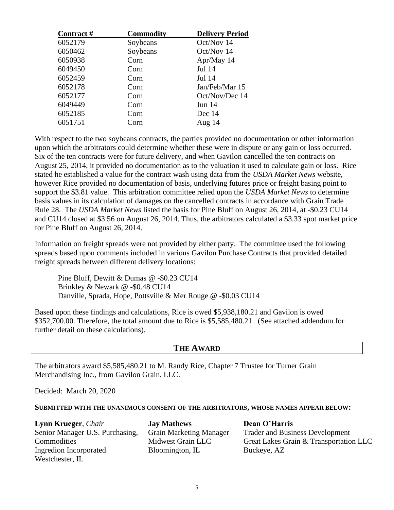| Contract# | <b>Commodity</b> | <b>Delivery Period</b> |
|-----------|------------------|------------------------|
| 6052179   | Soybeans         | Oct/Nov 14             |
| 6050462   | Soybeans         | Oct/Nov 14             |
| 6050938   | Corn             | Apr/May 14             |
| 6049450   | Corn             | Jul 14                 |
| 6052459   | Corn             | Jul 14                 |
| 6052178   | Corn             | Jan/Feb/Mar 15         |
| 6052177   | Corn             | Oct/Nov/Dec 14         |
| 6049449   | Corn             | <b>Jun 14</b>          |
| 6052185   | Corn             | Dec 14                 |
| 6051751   | Corn             | Aug $14$               |

With respect to the two soybeans contracts, the parties provided no documentation or other information upon which the arbitrators could determine whether these were in dispute or any gain or loss occurred. Six of the ten contracts were for future delivery, and when Gavilon cancelled the ten contracts on August 25, 2014, it provided no documentation as to the valuation it used to calculate gain or loss. Rice stated he established a value for the contract wash using data from the *USDA Market News* website, however Rice provided no documentation of basis, underlying futures price or freight basing point to support the \$3.81 value. This arbitration committee relied upon the *USDA Market News* to determine basis values in its calculation of damages on the cancelled contracts in accordance with Grain Trade Rule 28. The *USDA Market News* listed the basis for Pine Bluff on August 26, 2014, at -\$0.23 CU14 and CU14 closed at \$3.56 on August 26, 2014. Thus, the arbitrators calculated a \$3.33 spot market price for Pine Bluff on August 26, 2014.

Information on freight spreads were not provided by either party. The committee used the following spreads based upon comments included in various Gavilon Purchase Contracts that provided detailed freight spreads between different delivery locations:

Pine Bluff, Dewitt & Dumas @ -\$0.23 CU14 Brinkley & Newark @ -\$0.48 CU14 Danville, Sprada, Hope, Pottsville & Mer Rouge @ -\$0.03 CU14

Based upon these findings and calculations, Rice is owed \$5,938,180.21 and Gavilon is owed \$352,700.00. Therefore, the total amount due to Rice is \$5,585,480.21. (See attached addendum for further detail on these calculations).

## **THE AWARD**

The arbitrators award \$5,585,480.21 to M. Randy Rice, Chapter 7 Trustee for Turner Grain Merchandising Inc., from Gavilon Grain, LLC.

Decided: March 20, 2020

#### **SUBMITTED WITH THE UNANIMOUS CONSENT OF THE ARBITRATORS, WHOSE NAMES APPEAR BELOW:**

| <b>Lynn Krueger</b> , <i>Chair</i> | <b>Jay Mathews</b>             | Dean O'Harris                          |
|------------------------------------|--------------------------------|----------------------------------------|
| Senior Manager U.S. Purchasing,    | <b>Grain Marketing Manager</b> | <b>Trader and Business Development</b> |
| Commodities                        | Midwest Grain LLC              | Great Lakes Grain & Transportation LLC |
| Ingredion Incorporated             | Bloomington, IL                | Buckeye, AZ                            |
| Westchester, IL                    |                                |                                        |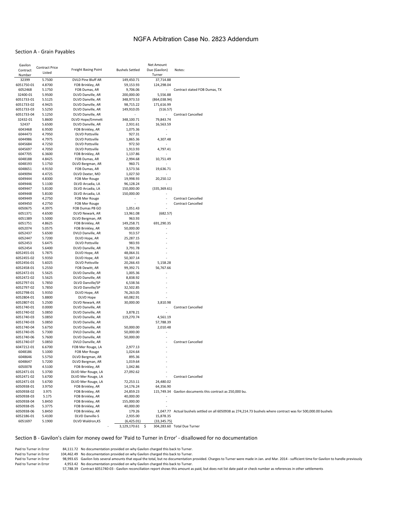#### NGFA Arbitration Case No. 2823 Addendum

#### Section A - Grain Payables

| Gavilon    |                       |                         |                        | Net Amount               |                                                                                                                |
|------------|-----------------------|-------------------------|------------------------|--------------------------|----------------------------------------------------------------------------------------------------------------|
| Contract   | <b>Contract Price</b> | Freight Basing Point    | <b>Bushels Settled</b> | Due (Gavilon)            | Notes:                                                                                                         |
| Number     | Listed                |                         |                        | Turner                   |                                                                                                                |
| 32399      | 5.7500                | DVLD Pine Bluff AR      | 149,450.71             | 37,714.88                |                                                                                                                |
| 6051750-01 | 4.8700                | FOB Brinkley, AR        | 59,153.93              | 124,298.04               |                                                                                                                |
| 6052468    | 5.1750                | FOB Dumas, AR           | 9,706.06               | $\overline{\phantom{a}}$ | Contract stated FOB Dumas, TX                                                                                  |
| 32400-01   | 5.9500                | DLVD Danville, AR       | 200,000.00             | 5,556.88                 |                                                                                                                |
| 6051733-01 | 5.5125                | DLVD Danville, AR       | 348,973.53             | (864, 038.94)            |                                                                                                                |
|            |                       |                         |                        |                          |                                                                                                                |
| 6051733-02 | 4.9425                | DLVD Danville, AR       | 98,715.22              | 171,616.99               |                                                                                                                |
| 6051733-03 | 5.5250                | DLVD Danville, AR       | 149,910.05             | (516.57)                 |                                                                                                                |
| 6051733-04 | 5.1250                | DLVD Danville, AR       |                        | $\sim$                   | <b>Contract Cancelled</b>                                                                                      |
| 32432-01   | 5.8600                | <b>DLVD Hope/Emmett</b> | 348,100.71             | 79,843.74                |                                                                                                                |
| 52437      | 5.6500                | DLVD Danville, AR       | 2,931.61               | 16,563.59                |                                                                                                                |
| 6043468    | 6.9500                | FOB Brinkley, AR        | 1,075.36               |                          |                                                                                                                |
| 6044473    | 4.7950                | <b>DLVD Pottsville</b>  | 927.31                 | $\sim$                   |                                                                                                                |
| 6044986    | 4.7975                | <b>DLVD Pottsville</b>  | 1,865.36               | 4,307.48                 |                                                                                                                |
| 6045684    | 4.7250                | <b>DLVD Pottsville</b>  | 972.50                 |                          |                                                                                                                |
| 6045697    | 4.7050                | <b>DLVD Pottsville</b>  | 1,913.93               | 4,797.41                 |                                                                                                                |
| 6047705    | 6.3600                | FOB Brinkley, AR        | 1,137.86               |                          |                                                                                                                |
| 6048188    | 4.8425                | FOB Dumas, AR           | 2,994.68               | 10,751.49                |                                                                                                                |
| 6048193    | 5.1750                | DLVD Bergman, AR        | 960.71                 |                          |                                                                                                                |
|            |                       |                         |                        |                          |                                                                                                                |
| 6048651    | 4.9150                | FOB Dumas, AR           | 3,573.56               | 19,636.71                |                                                                                                                |
| 6049094    | 4.4725                | DLVD Dexter, MO         | 1,027.50               |                          |                                                                                                                |
| 6049444    | 4.8300                | FOB Mer Rouge           | 19,998.93              | 20,250.12                |                                                                                                                |
| 6049446    | 5.1100                | DLVD Arcadia, LA        | 96,128.24              |                          |                                                                                                                |
| 6049447    | 5.8100                | DLVD Arcadia, LA        | 150,000.00             | (335, 369.61)            |                                                                                                                |
| 6049448    | 5.8100                | DLVD Arcadia, LA        | 150,000.00             |                          |                                                                                                                |
| 6049449    | 4.2750                | FOB Mer Rouge           |                        | ä,                       | <b>Contract Cancelled</b>                                                                                      |
| 6049450    | 4.2750                | FOB Mer Rouge           | ٠                      | ٠                        | <b>Contract Cancelled</b>                                                                                      |
| 6050675    | 4.3975                | FOB Dumas PB GO         | 1,051.43               |                          |                                                                                                                |
| 6051371    | 4.6500                | DLVD Newark, AR         | 13,961.08              | (682.57)                 |                                                                                                                |
| 6051389    | 5.5000                | DLVD Bergman, AR        | 963.93                 |                          |                                                                                                                |
| 6051751    | 4.8625                | FOB Brinkley, AR        | 149,258.71             | 691,290.35               |                                                                                                                |
| 6052074    | 5.0575                | FOB Brinkley, AR        | 50,000.00              |                          |                                                                                                                |
| 6052437    | 5.6500                | DVLD Danville, AR       | 913.57                 |                          |                                                                                                                |
| 6052447    | 5.7200                | DLVD Hope, AR           | 25,287.15              |                          |                                                                                                                |
| 6052453    | 5.6475                | <b>DLVD Pottsville</b>  | 983.93                 |                          |                                                                                                                |
| 6052454    | 5.6400                |                         | 3,791.78               |                          |                                                                                                                |
|            |                       | DLVD Danville, AR       |                        |                          |                                                                                                                |
| 6052455-01 | 5.7875                | DLVD Hope, AR           | 48,064.31              |                          |                                                                                                                |
| 6052455-02 | 5.9350                | DLVD Hope, AR           | 50,307.14              |                          |                                                                                                                |
| 6052456-01 | 5.6025                | <b>DLVD Pottsville</b>  | 20,266.43              | 5,158.28                 |                                                                                                                |
| 6052458-01 | 5.2550                | FOB Dewitt, AR          | 99,392.71              | 56,767.66                |                                                                                                                |
| 6052472-01 | 5.5625                | DLVD Danville, AR       | 1,005.36               |                          |                                                                                                                |
| 6052472-02 | 5.5625                | DLVD Danville, AR       | 8,838.92               |                          |                                                                                                                |
| 6052797-01 | 5.7850                | DLVD Danville/SP        | 6,538.56               |                          |                                                                                                                |
| 6052797-02 | 5.7850                | DLVD Danville/SP        | 32,502.85              |                          |                                                                                                                |
| 6052798-01 | 5.9350                | DLVD Hope, AR           | 76,263.05              | ×                        |                                                                                                                |
| 6052804-01 | 5.8800                | DLVD Hope               | 60,082.91              | ä,                       |                                                                                                                |
| 6052807-01 | 5.2500                | DLVD Newark, AR         | 30,000.00              | 3,810.98                 |                                                                                                                |
| 6051740-01 | 0.0000                | DLVD Danville, AR       |                        | $\overline{\phantom{a}}$ | <b>Contract Cancelled</b>                                                                                      |
| 6051740-02 | 5.0850                | DLVD Danville, AR       | 3,878.21               |                          |                                                                                                                |
| 6051740-03 | 5.0850                | DLVD Danville, AR       | 119,270.74             | 4,561.19                 |                                                                                                                |
| 6051740-03 | 5.0850                | DLVD Danville, AR       |                        |                          |                                                                                                                |
| 6051740-04 |                       |                         | 50,000.00              | 57,788.39                |                                                                                                                |
|            | 5.6750                | DLVD Danville, AR       |                        | 2,010.48                 |                                                                                                                |
| 6051740-05 | 5.7300                | DVLD Danville, AR       | 50,000.00              |                          |                                                                                                                |
| 6051740-06 | 5.7600                | DLVD Danville, AR       | 50,000.00              | ٠                        |                                                                                                                |
| 6051740-07 | 5.0850                | DVLD Danville, AR       |                        |                          | <b>Contract Cancelled</b>                                                                                      |
| 6047212-01 | 6.6700                | FOB Mer Rouge, LA       | 2,977.13               |                          |                                                                                                                |
| 6048186    | 5.1000                | FOB Mer Rouge           | 1,024.64               |                          |                                                                                                                |
| 6048646    | 5.5750                | DLVD Bergman, AR        | 895.36                 |                          |                                                                                                                |
| 6048647    | 5.7200                | DLVD Bergman, AR        | 1,019.64               |                          |                                                                                                                |
| 6050078    | 4.5100                | FOB Brinkley, AR        | 1,042.86               |                          |                                                                                                                |
| 6052471-01 | 5.3700                | DLVD Mer Rouge, LA      | 27,092.62              |                          |                                                                                                                |
| 6052471-02 | 5.6700                | DLVD Mer Rouge, LA      |                        |                          | <b>Contract Cancelled</b>                                                                                      |
| 6052471-03 | 5.6700                | DLVD Mer Rouge, LA      | 72,253.11              | 24,480.02                |                                                                                                                |
| 6050938-01 | 3.9750                | FOB Brinkley, AR        | 14,176.24              | 64,356.90                |                                                                                                                |
| 6050938-02 |                       |                         |                        |                          | 115,749.34 Gavilon documents this contract as 250,000 bu.                                                      |
|            | 3.975                 | FOB Brinkley, AR        | 24,859.23              |                          |                                                                                                                |
| 6050938-03 | 5.175                 | FOB Brinkley, AR        | 40,000.00              |                          |                                                                                                                |
| 6050938-04 | 5.8450                | FOB Brinkley, AR        | 155,000.00             |                          |                                                                                                                |
| 6050938-05 | 5.3775                | FOB Brinkley, AR        | 40,000.00              |                          |                                                                                                                |
| 6050938-06 | 5.8450                | FOB Brinkley, AR        | 179.26                 |                          | 1,047.77 Actual bushels settled on all 6050938 as 274,214.73 bushels where contract was for 500,000.00 bushels |
| 6052186-01 | 5.4100                | <b>DLVD Danville-S</b>  | 2,935.00               | 15,878.35                |                                                                                                                |
| 6051697    | 5.1900                | DLVD Waldron, KS        | (6,425.01)             | (33, 345.75)             |                                                                                                                |
|            |                       |                         | 3,129,170.61<br>\$     |                          | 304,283.60 Total Due Turner                                                                                    |

#### Section B - Gavilon's claim for money owed for 'Paid to Turner in Error' - disallowed for no documentation

Paid to Turner in Error 84,111.72 No documentation provided on why Gavilon charged this back to Turner.<br>Paid to Turner in Error 104,462.49 No documentation provided on why Gavilon charged this back to Turner.

Paid to Turner in Error 104,462.49 No documentation provided on why Gavilon charged this back to Turner.<br>Paid to Turner in Error 98,993.65 Gavilon lists several amounts that equal the total, but no documentation p Paid to Turner in Error 98,993.65 Gavilon lists several amounts that equal the total, but no documentation provided. Charges to Turner were made in Jan. and Mar. 2014 - sufficient time for Gavilon to handle previously<br>Paid

4,953.42 No documentation provided on why Gavilon charged this back to Turner.

57,788.39 Contract 6051740-03 - Gavilon reconciliation report shows this amount as paid, but does not list date paid or check number as references in other settlements